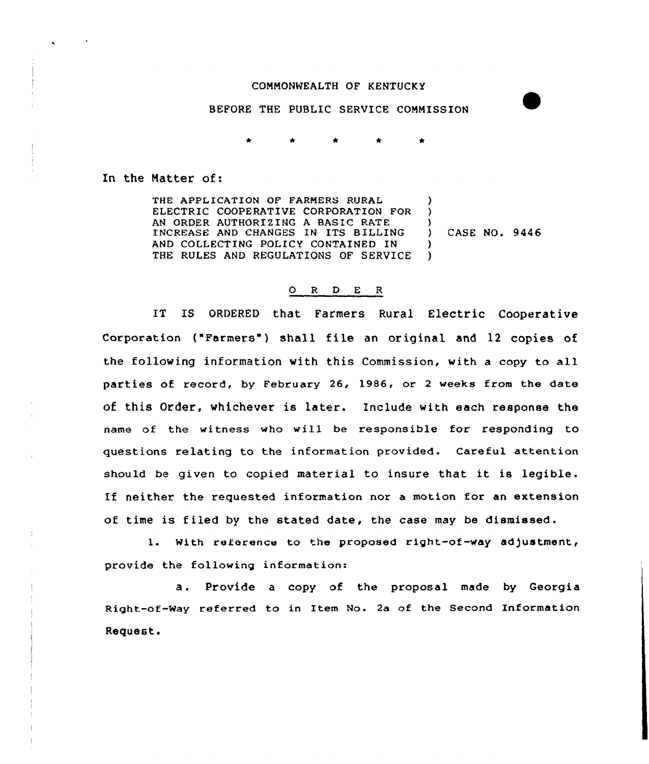## COMMONWEALTH OF KENTUCKY

BEFORE THE PUBLIC SERVICE CONNISSION

In the Natter of:

THE APPLICATION OF FARMERS RURAL ELECTRIC COOPERATIVE CORPORATION FOR AN ORDER AUTHORIZING A BASIC RATE INCREASE AND CHANGES IN ITS BILLING AND COLLECTING POLICY CONTAINED IN THE RULES AND REGULATIONS OF SERVICE ) ) ) ) )

) CASE NO. 9446

## O R D E R

IT IS ORDERED that Farmers Rural Electric Cooperative Corporation ("Farmers") shall file an original and 12 copies of the following information with this Commission, with a copy to all parties of record, by February 26, 1986, or <sup>2</sup> weeks from the date of this Order, whichever is later. Include with each response the name of the witness who will be responsible for responding to questions relating to the information provided. Careful attention should be given to copied material to insure that it is legible. If neither the requested information nor a motion for an extension of time is filed by the stated date, the case may be dismissed .

1. With reference to the proposed right-of-way ad)ustment, provide the following information:

a. Provide <sup>a</sup> copy of the proposal made by Georgia Right-of-Way referred to in Item No. 2a of the Second Information Request.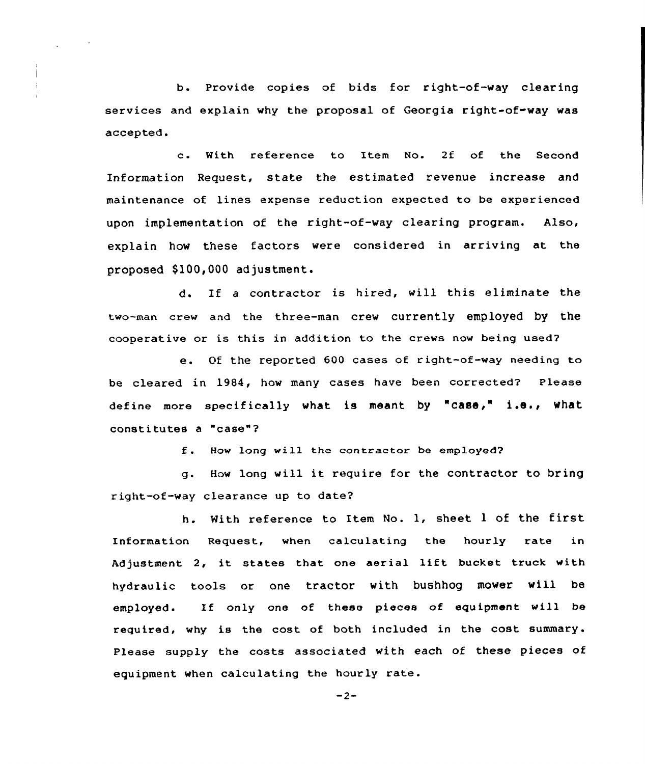b. Provide copies of bids for right-of-way clearing services and explain why the proposal of Georgia right-of-way was accepted.

c. With reference to Item No. 2f of the Second Information Request, state the estimated revenue increase and maintenance of lines expense reduction expected to be experienced upon implementation of the right-of-way clearing program. Also, explain how these factors were considered in arriving at the proposed \$100,000 adjustment.

d. If <sup>a</sup> contractor is hired, will this eliminate the two-man crew and the three-man crew currently employed by the cooperative or is this in addition to the crews now being used?

e. Of the reported <sup>600</sup> cases of right-of-way needing to be cleared in 1984, how many cases have been corrected? Please define more specifically what is meant by "case," i.e., what constitutes <sup>a</sup> "case"7

f. How long will the contractor be employed?

g. How long will it require for the contractor to bring right-of-way clearance up to date7

h. With reference to Item No. 1, sheet <sup>1</sup> of the first Information Request, when calculating the hourly rate in Adjustment 2, it states that one aerial lift bucket truck with hydraulic tools or one tractor with bushhog mower will be employed. Zf only one of these pieces of equipment vill be required, why is the cost of both included in the cost summary. Please supply the costs associated with each of these pieces of equipment when calculating the hourly rate.

 $-2-$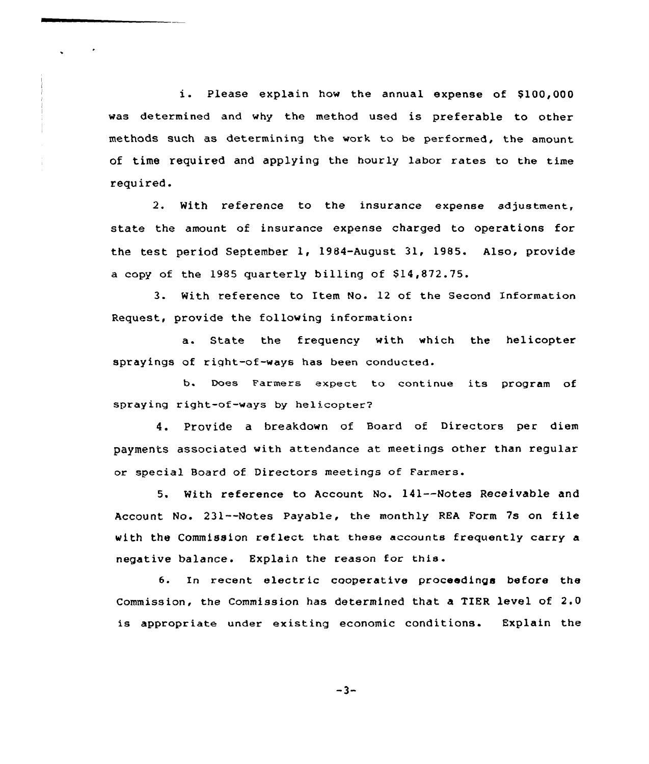i. Please explain how the annual expense of \$100,000 was determined and why the method used is preferable to other methods such as determining the work to be performed, the amount of time required and applying the hourly labor rates to the time required.

2. With reference to the insurance expense adjustment, state the amount of insurance expense charged to operations for the test period September 1, 1984-August 31, 1985. Also, provide a copy of the 1985 quarterly billing of  $$14,872.75$ .

3- With reference to Item No. 12 of the Second Information Request, provide the following information:

a. State the frequency with which the helicopter sprayings of right-of-ways has been conducted.

b. Does Farmers expect to continue its program of spraying right-of-ways by helicopter?

4. Provide a breakdown of Board of Directors per diem payments associated with attendance at meetings other than regular or special Board of Directors meetings of Farmers.

5. With reference to Account No. 141--Notes Receivable and Account No. 231--Notes Payable, the monthly REA Form 7s on file with the Commission reflect that these accounts frequently carry a negative balance. Explain the reason for this.

6. In recent electric cooperative proceedings before the Commission, the Commission has determined that a TIER level of 2.0 is appropriate under existing economic conditions. Explain the

$$
-3 -
$$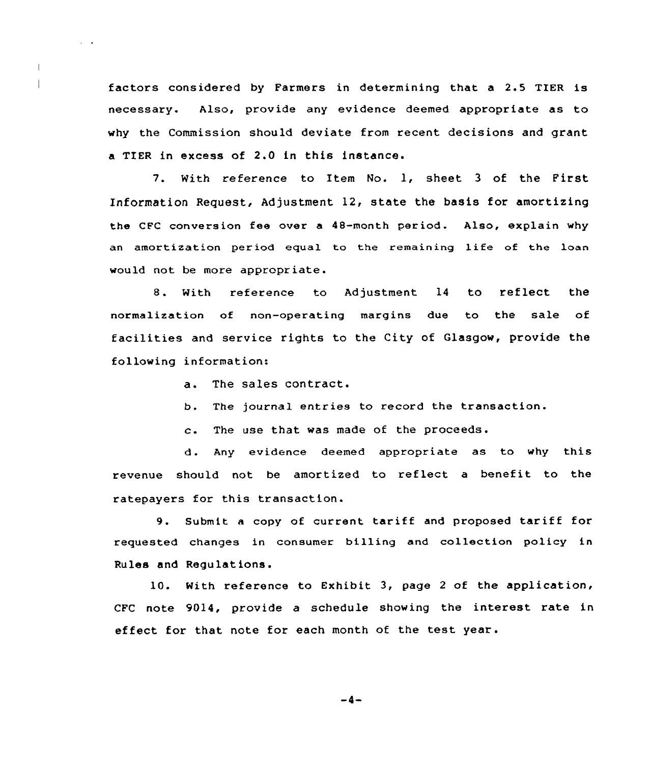factors considered by Farmers in determining that a 2.5 TIER is necessary. Also, provide any evidence deemed appropriate as to why the Commission should deviate from recent decisions and grant a TIER in excess of 2.0 in this instance.

7. With reference to Item No. 1, sheet <sup>3</sup> of the First Information Request, Adjustment 12, state the basis for amortizing the CFC conversion fee over a 48-month period. Also, explain why an amortization period equal to the remaining life of the loan would not be more appropriate.

8. With reference to Adjustment 14 to reflect the normalization of non-operating margins due to the sale of facilities and service rights to the City of Glasgow, provide the following information:

a. The sales contract.

 $\alpha = 0.4$ 

 $\overline{1}$ 

- b. The journa1 entries to record the transaction.
- c. The use that was made of the proceeds.

d. Any evidence deemed appropriate as to why this revenue should not be amortized to reflect <sup>a</sup> benefit to the ratepayers for this transaction.

9. Submit a copy of current tariff and proposed tariff for requested changes in consumer billing and collection policy in Rules and Regulations.

10. With reference to Exhibit 3, page <sup>2</sup> of the application, CFC note 9014, provide a schedule showing the interest rate in effect for that note for each month of the test year.

 $-4-$